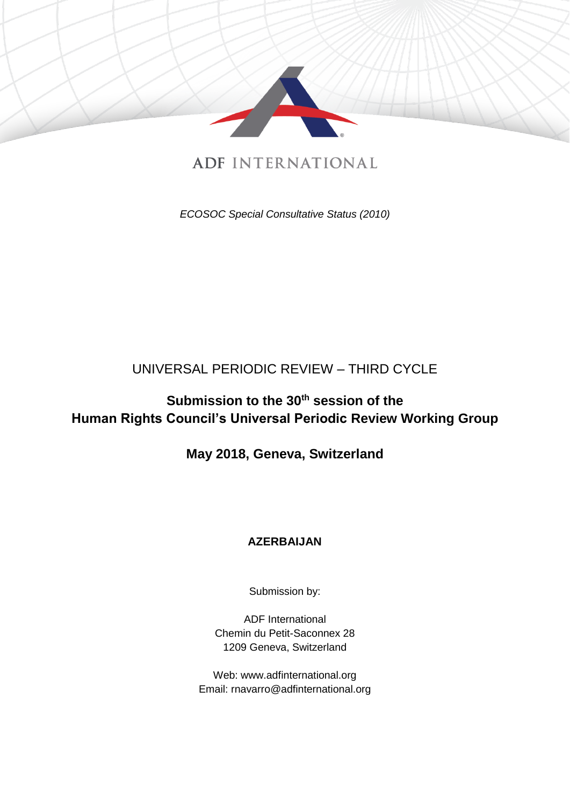

# **ADF INTERNATIONAL**

*ECOSOC Special Consultative Status (2010)*

## UNIVERSAL PERIODIC REVIEW – THIRD CYCLE

# **Submission to the 30th session of the Human Rights Council's Universal Periodic Review Working Group**

## **May 2018, Geneva, Switzerland**

## **AZERBAIJAN**

Submission by:

ADF International Chemin du Petit-Saconnex 28 1209 Geneva, Switzerland

Web: www.adfinternational.org Email: rnavarro@adfinternational.org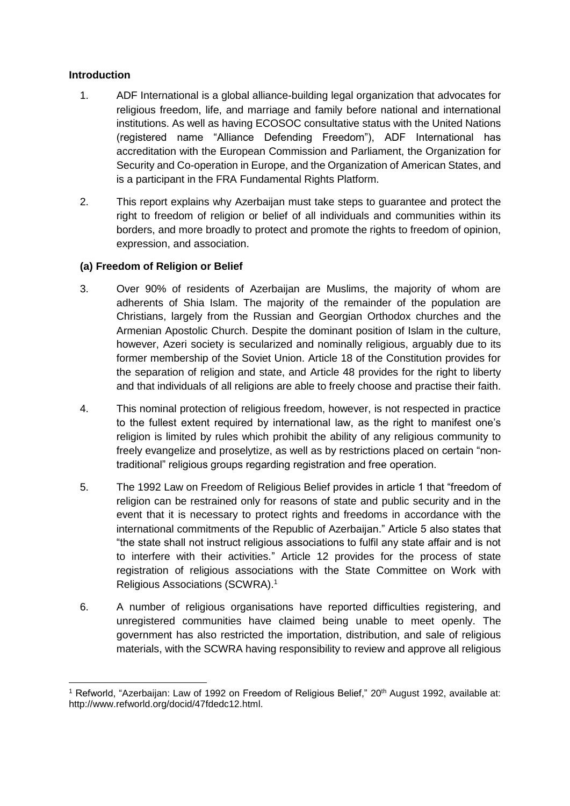#### **Introduction**

- 1. ADF International is a global alliance-building legal organization that advocates for religious freedom, life, and marriage and family before national and international institutions. As well as having ECOSOC consultative status with the United Nations (registered name "Alliance Defending Freedom"), ADF International has accreditation with the European Commission and Parliament, the Organization for Security and Co-operation in Europe, and the Organization of American States, and is a participant in the FRA Fundamental Rights Platform.
- 2. This report explains why Azerbaijan must take steps to guarantee and protect the right to freedom of religion or belief of all individuals and communities within its borders, and more broadly to protect and promote the rights to freedom of opinion, expression, and association.

### **(a) Freedom of Religion or Belief**

- 3. Over 90% of residents of Azerbaijan are Muslims, the majority of whom are adherents of Shia Islam. The majority of the remainder of the population are Christians, largely from the Russian and Georgian Orthodox churches and the Armenian Apostolic Church. Despite the dominant position of Islam in the culture, however, Azeri society is secularized and nominally religious, arguably due to its former membership of the Soviet Union. Article 18 of the Constitution provides for the separation of religion and state, and Article 48 provides for the right to liberty and that individuals of all religions are able to freely choose and practise their faith.
- 4. This nominal protection of religious freedom, however, is not respected in practice to the fullest extent required by international law, as the right to manifest one's religion is limited by rules which prohibit the ability of any religious community to freely evangelize and proselytize, as well as by restrictions placed on certain "nontraditional" religious groups regarding registration and free operation.
- 5. The 1992 Law on Freedom of Religious Belief provides in article 1 that "freedom of religion can be restrained only for reasons of state and public security and in the event that it is necessary to protect rights and freedoms in accordance with the international commitments of the Republic of Azerbaijan." Article 5 also states that "the state shall not instruct religious associations to fulfil any state affair and is not to interfere with their activities." Article 12 provides for the process of state registration of religious associations with the State Committee on Work with Religious Associations (SCWRA).<sup>1</sup>
- 6. A number of religious organisations have reported difficulties registering, and unregistered communities have claimed being unable to meet openly. The government has also restricted the importation, distribution, and sale of religious materials, with the SCWRA having responsibility to review and approve all religious

<sup>-</sup><sup>1</sup> Refworld, "Azerbaijan: Law of 1992 on Freedom of Religious Belief," 20<sup>th</sup> August 1992, available at: http://www.refworld.org/docid/47fdedc12.html.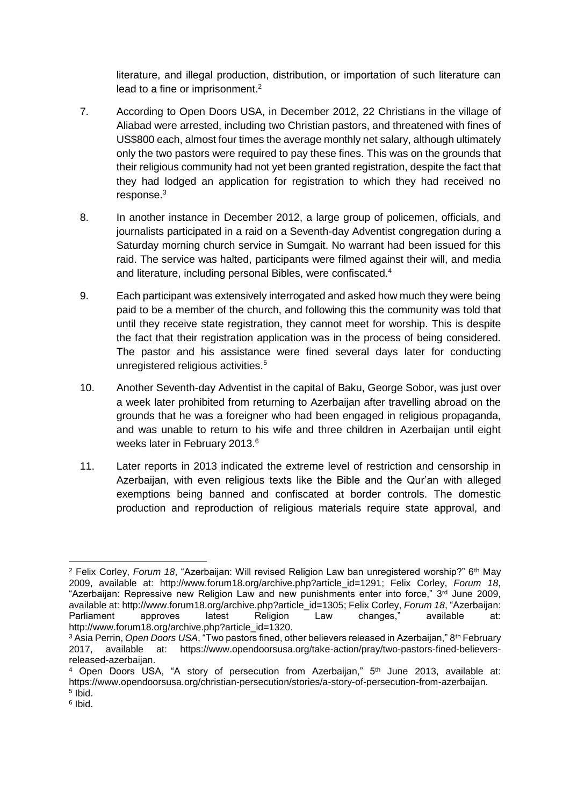literature, and illegal production, distribution, or importation of such literature can lead to a fine or imprisonment.<sup>2</sup>

- 7. According to Open Doors USA, in December 2012, 22 Christians in the village of Aliabad were arrested, including two Christian pastors, and threatened with fines of US\$800 each, almost four times the average monthly net salary, although ultimately only the two pastors were required to pay these fines. This was on the grounds that their religious community had not yet been granted registration, despite the fact that they had lodged an application for registration to which they had received no response.<sup>3</sup>
- 8. In another instance in December 2012, a large group of policemen, officials, and journalists participated in a raid on a Seventh-day Adventist congregation during a Saturday morning church service in Sumgait. No warrant had been issued for this raid. The service was halted, participants were filmed against their will, and media and literature, including personal Bibles, were confiscated.<sup>4</sup>
- 9. Each participant was extensively interrogated and asked how much they were being paid to be a member of the church, and following this the community was told that until they receive state registration, they cannot meet for worship. This is despite the fact that their registration application was in the process of being considered. The pastor and his assistance were fined several days later for conducting unregistered religious activities.<sup>5</sup>
- 10. Another Seventh-day Adventist in the capital of Baku, George Sobor, was just over a week later prohibited from returning to Azerbaijan after travelling abroad on the grounds that he was a foreigner who had been engaged in religious propaganda, and was unable to return to his wife and three children in Azerbaijan until eight weeks later in February 2013.<sup>6</sup>
- 11. Later reports in 2013 indicated the extreme level of restriction and censorship in Azerbaijan, with even religious texts like the Bible and the Qur'an with alleged exemptions being banned and confiscated at border controls. The domestic production and reproduction of religious materials require state approval, and

<sup>-</sup><sup>2</sup> Felix Corley, *Forum 18*, "Azerbaijan: Will revised Religion Law ban unregistered worship?" 6<sup>th</sup> May 2009, available at: http://www.forum18.org/archive.php?article\_id=1291; Felix Corley, *Forum 18*, "Azerbaijan: Repressive new Religion Law and new punishments enter into force," 3rd June 2009, available at: http://www.forum18.org/archive.php?article\_id=1305; Felix Corley, *Forum 18*, "Azerbaijan: Parliament approves latest Religion Law changes," available at: http://www.forum18.org/archive.php?article\_id=1320.

<sup>&</sup>lt;sup>3</sup> Asia Perrin, *Open Doors USA*, "Two pastors fined, other believers released in Azerbaijan," 8<sup>th</sup> February<br>2017, available at: https://www.opendoorsusa.org/take-action/prav/two-pastors-fined-believers-2017, available at: https://www.opendoorsusa.org/take-action/pray/two-pastors-fined-believersreleased-azerbaijan.

<sup>4</sup> Open Doors USA, "A story of persecution from Azerbaijan," 5th June 2013, available at: https://www.opendoorsusa.org/christian-persecution/stories/a-story-of-persecution-from-azerbaijan. 5 Ibid.

<sup>6</sup> Ibid.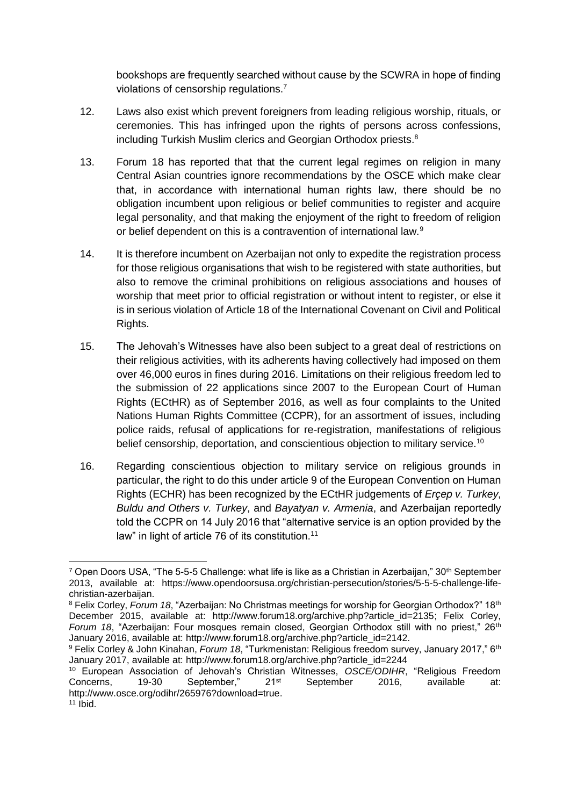bookshops are frequently searched without cause by the SCWRA in hope of finding violations of censorship regulations.<sup>7</sup>

- 12. Laws also exist which prevent foreigners from leading religious worship, rituals, or ceremonies. This has infringed upon the rights of persons across confessions, including Turkish Muslim clerics and Georgian Orthodox priests.<sup>8</sup>
- 13. Forum 18 has reported that that the current legal regimes on religion in many Central Asian countries ignore recommendations by the OSCE which make clear that, in accordance with international human rights law, there should be no obligation incumbent upon religious or belief communities to register and acquire legal personality, and that making the enjoyment of the right to freedom of religion or belief dependent on this is a contravention of international law.<sup>9</sup>
- 14. It is therefore incumbent on Azerbaijan not only to expedite the registration process for those religious organisations that wish to be registered with state authorities, but also to remove the criminal prohibitions on religious associations and houses of worship that meet prior to official registration or without intent to register, or else it is in serious violation of Article 18 of the International Covenant on Civil and Political Rights.
- 15. The Jehovah's Witnesses have also been subject to a great deal of restrictions on their religious activities, with its adherents having collectively had imposed on them over 46,000 euros in fines during 2016. Limitations on their religious freedom led to the submission of 22 applications since 2007 to the European Court of Human Rights (ECtHR) as of September 2016, as well as four complaints to the United Nations Human Rights Committee (CCPR), for an assortment of issues, including police raids, refusal of applications for re-registration, manifestations of religious belief censorship, deportation, and conscientious objection to military service.<sup>10</sup>
- 16. Regarding conscientious objection to military service on religious grounds in particular, the right to do this under article 9 of the European Convention on Human Rights (ECHR) has been recognized by the ECtHR judgements of *Erçep v. Turkey*, *Buldu and Others v. Turkey*, and *Bayatyan v. Armenia*, and Azerbaijan reportedly told the CCPR on 14 July 2016 that "alternative service is an option provided by the law" in light of article 76 of its constitution.<sup>11</sup>

-

<sup>7</sup> Open Doors USA, "The 5-5-5 Challenge: what life is like as a Christian in Azerbaijan," 30th September 2013, available at: https://www.opendoorsusa.org/christian-persecution/stories/5-5-5-challenge-lifechristian-azerbaijan.

<sup>8</sup> Felix Corley, *Forum 18*, "Azerbaijan: No Christmas meetings for worship for Georgian Orthodox?" 18th December 2015, available at: http://www.forum18.org/archive.php?article\_id=2135; Felix Corley, *Forum 18*, "Azerbaijan: Four mosques remain closed, Georgian Orthodox still with no priest," 26<sup>th</sup> January 2016, available at: http://www.forum18.org/archive.php?article\_id=2142.

<sup>&</sup>lt;sup>9</sup> Felix Corley & John Kinahan, *Forum 18*, "Turkmenistan: Religious freedom survey, January 2017," 6<sup>th</sup> January 2017, available at: http://www.forum18.org/archive.php?article\_id=2244

<sup>10</sup> European Association of Jehovah's Christian Witnesses, *OSCE/ODIHR*, "Religious Freedom Concerns, 19-30 September," 21<sup>st</sup> September 2016, available at: http://www.osce.org/odihr/265976?download=true.  $11$  Ibid.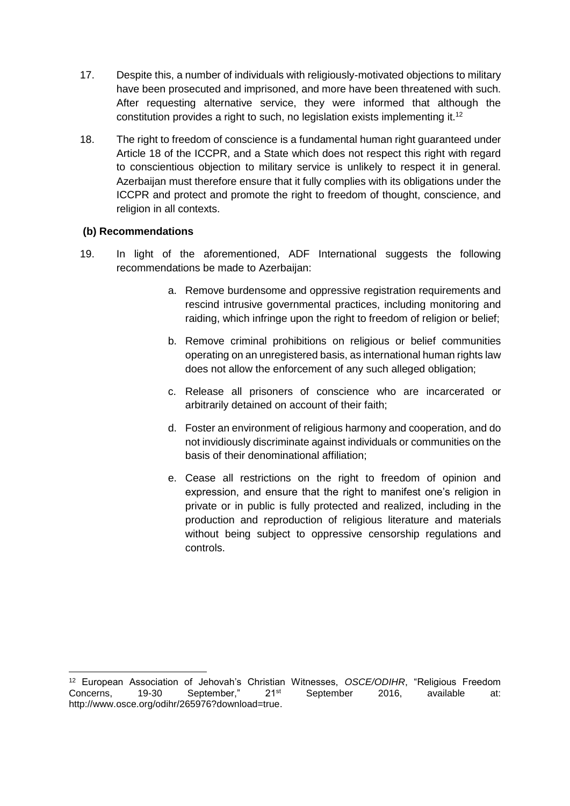- 17. Despite this, a number of individuals with religiously-motivated objections to military have been prosecuted and imprisoned, and more have been threatened with such. After requesting alternative service, they were informed that although the constitution provides a right to such, no legislation exists implementing it.<sup>12</sup>
- 18. The right to freedom of conscience is a fundamental human right guaranteed under Article 18 of the ICCPR, and a State which does not respect this right with regard to conscientious objection to military service is unlikely to respect it in general. Azerbaijan must therefore ensure that it fully complies with its obligations under the ICCPR and protect and promote the right to freedom of thought, conscience, and religion in all contexts.

#### **(b) Recommendations**

- 19. In light of the aforementioned, ADF International suggests the following recommendations be made to Azerbaijan:
	- a. Remove burdensome and oppressive registration requirements and rescind intrusive governmental practices, including monitoring and raiding, which infringe upon the right to freedom of religion or belief;
	- b. Remove criminal prohibitions on religious or belief communities operating on an unregistered basis, as international human rights law does not allow the enforcement of any such alleged obligation;
	- c. Release all prisoners of conscience who are incarcerated or arbitrarily detained on account of their faith;
	- d. Foster an environment of religious harmony and cooperation, and do not invidiously discriminate against individuals or communities on the basis of their denominational affiliation;
	- e. Cease all restrictions on the right to freedom of opinion and expression, and ensure that the right to manifest one's religion in private or in public is fully protected and realized, including in the production and reproduction of religious literature and materials without being subject to oppressive censorship regulations and controls.

<sup>-</sup><sup>12</sup> European Association of Jehovah's Christian Witnesses, *OSCE/ODIHR*, "Religious Freedom Concerns. 19-30 September." 21<sup>st</sup> September 2016, available at: http://www.osce.org/odihr/265976?download=true.